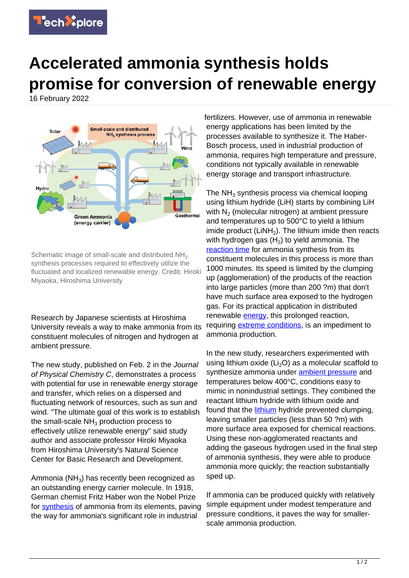

## **Accelerated ammonia synthesis holds promise for conversion of renewable energy**

16 February 2022



Schematic image of small-scale and distributed NH<sub>3</sub> synthesis processes required to effectively utilize the fluctuated and localized renewable energy. Credit: Hiroki Miyaoka, Hiroshima University

Research by Japanese scientists at Hiroshima University reveals a way to make ammonia from its constituent molecules of nitrogen and hydrogen at ambient pressure.

The new study, published on Feb. 2 in the Journal of Physical Chemistry C, demonstrates a process with potential for use in renewable energy storage and transfer, which relies on a dispersed and fluctuating network of resources, such as sun and wind. "The ultimate goal of this work is to establish the small-scale  $\mathsf{NH}_3$  production process to effectively utilize renewable energy" said study author and associate professor Hiroki Miyaoka from Hiroshima University's Natural Science Center for Basic Research and Development.

Ammonia (NH<sub>3</sub>) has recently been recognized as an outstanding energy carrier molecule. In 1918, German chemist Fritz Haber won the Nobel Prize for **synthesis** of ammonia from its elements, paving the way for ammonia's significant role in industrial

fertilizers. However, use of ammonia in renewable energy applications has been limited by the processes available to synthesize it. The Haber-Bosch process, used in industrial production of ammonia, requires high temperature and pressure, conditions not typically available in renewable energy storage and transport infrastructure.

The NH<sub>3</sub> synthesis process via chemical looping using lithium hydride (LiH) starts by combining LiH with  $N_2$  (molecular nitrogen) at ambient pressure and temperatures up to 500°C to yield a lithium imide product  $(LiNH<sub>2</sub>)$ . The lithium imide then reacts with hydrogen gas  $(H<sub>2</sub>)$  to yield ammonia. The [reaction time](https://techxplore.com/tags/reaction+time/) for ammonia synthesis from its constituent molecules in this process is more than 1000 minutes. Its speed is limited by the clumping up (agglomeration) of the products of the reaction into large particles (more than 200 ?m) that don't have much surface area exposed to the hydrogen gas. For its practical application in distributed renewable [energy,](https://techxplore.com/tags/energy/) this prolonged reaction, requiring [extreme conditions,](https://techxplore.com/tags/extreme+conditions/) is an impediment to ammonia production.

In the new study, researchers experimented with using lithium oxide ( $Li<sub>2</sub>O$ ) as a molecular scaffold to synthesize ammonia under [ambient pressure](https://techxplore.com/tags/ambient+pressure/) and temperatures below 400°C, conditions easy to mimic in nonindustrial settings. They combined the reactant lithium hydride with lithium oxide and found that the [lithium](https://techxplore.com/tags/lithium/) hydride prevented clumping. leaving smaller particles (less than 50 ?m) with more surface area exposed for chemical reactions. Using these non-agglomerated reactants and adding the gaseous hydrogen used in the final step of ammonia synthesis, they were able to produce ammonia more quickly; the reaction substantially sped up.

If ammonia can be produced quickly with relatively simple equipment under modest temperature and pressure conditions, it paves the way for smallerscale ammonia production.